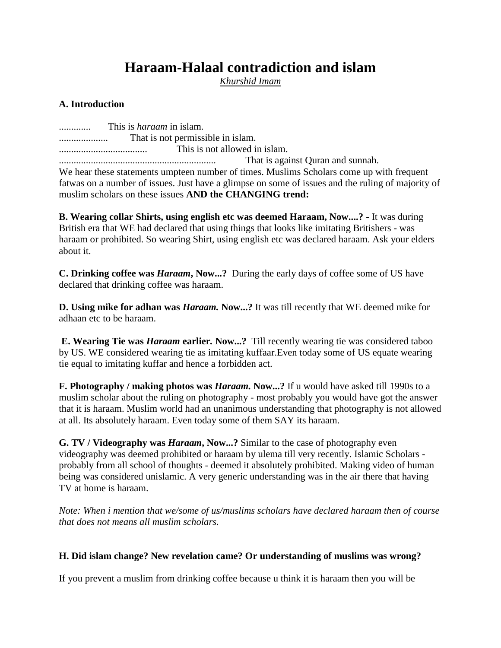# **Haraam-Halaal contradiction and islam**

*Khurshid Imam*

## **A. Introduction**

............. This is *haraam* in islam. .................... That is not permissible in islam. .................................... This is not allowed in islam. ................................................................ That is against Quran and sunnah. We hear these statements umpteen number of times. Muslims Scholars come up with frequent fatwas on a number of issues. Just have a glimpse on some of issues and the ruling of majority of muslim scholars on these issues **AND the CHANGING trend:**

**B. Wearing collar Shirts, using english etc was deemed Haraam, Now....? -** It was during British era that WE had declared that using things that looks like imitating Britishers - was haraam or prohibited. So wearing Shirt, using english etc was declared haraam. Ask your elders about it.

**C. Drinking coffee was** *Haraam***, Now...?** During the early days of coffee some of US have declared that drinking coffee was haraam.

**D. Using mike for adhan was** *Haraam.* **Now...?** It was till recently that WE deemed mike for adhaan etc to be haraam.

**E. Wearing Tie was** *Haraam* **earlier***.* **Now...?** Till recently wearing tie was considered taboo by US. WE considered wearing tie as imitating kuffaar.Even today some of US equate wearing tie equal to imitating kuffar and hence a forbidden act.

**F. Photography / making photos was** *Haraam***. Now...?** If u would have asked till 1990s to a muslim scholar about the ruling on photography - most probably you would have got the answer that it is haraam. Muslim world had an unanimous understanding that photography is not allowed at all. Its absolutely haraam. Even today some of them SAY its haraam.

**G. TV / Videography was** *Haraam***, Now...?** Similar to the case of photography even videography was deemed prohibited or haraam by ulema till very recently. Islamic Scholars probably from all school of thoughts - deemed it absolutely prohibited. Making video of human being was considered unislamic. A very generic understanding was in the air there that having TV at home is haraam.

*Note: When i mention that we/some of us/muslims scholars have declared haraam then of course that does not means all muslim scholars.*

## **H. Did islam change? New revelation came? Or understanding of muslims was wrong?**

If you prevent a muslim from drinking coffee because u think it is haraam then you will be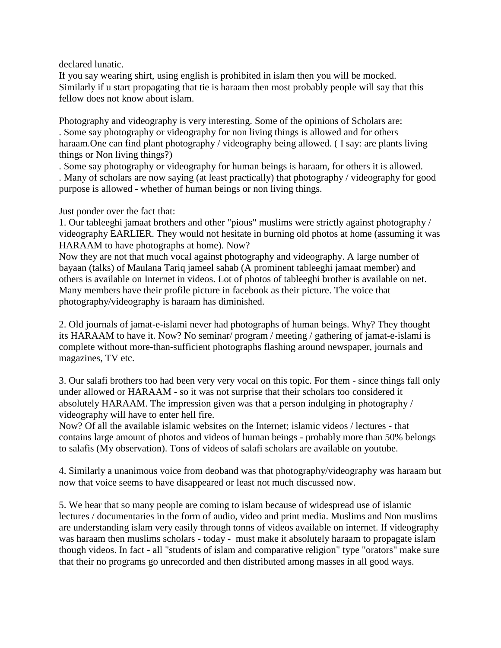declared lunatic.

If you say wearing shirt, using english is prohibited in islam then you will be mocked. Similarly if u start propagating that tie is haraam then most probably people will say that this fellow does not know about islam.

Photography and videography is very interesting. Some of the opinions of Scholars are: . Some say photography or videography for non living things is allowed and for others haraam. One can find plant photography / videography being allowed. (I say: are plants living things or Non living things?)

. Some say photography or videography for human beings is haraam, for others it is allowed. . Many of scholars are now saying (at least practically) that photography / videography for good purpose is allowed - whether of human beings or non living things.

Just ponder over the fact that:

1. Our tableeghi jamaat brothers and other "pious" muslims were strictly against photography / videography EARLIER. They would not hesitate in burning old photos at home (assuming it was HARAAM to have photographs at home). Now?

Now they are not that much vocal against photography and videography. A large number of bayaan (talks) of Maulana Tariq jameel sahab (A prominent tableeghi jamaat member) and others is available on Internet in videos. Lot of photos of tableeghi brother is available on net. Many members have their profile picture in facebook as their picture. The voice that photography/videography is haraam has diminished.

2. Old journals of jamat-e-islami never had photographs of human beings. Why? They thought its HARAAM to have it. Now? No seminar/ program / meeting / gathering of jamat-e-islami is complete without more-than-sufficient photographs flashing around newspaper, journals and magazines, TV etc.

3. Our salafi brothers too had been very very vocal on this topic. For them - since things fall only under allowed or HARAAM - so it was not surprise that their scholars too considered it absolutely HARAAM. The impression given was that a person indulging in photography / videography will have to enter hell fire.

Now? Of all the available islamic websites on the Internet; islamic videos / lectures - that contains large amount of photos and videos of human beings - probably more than 50% belongs to salafis (My observation). Tons of videos of salafi scholars are available on youtube.

4. Similarly a unanimous voice from deoband was that photography/videography was haraam but now that voice seems to have disappeared or least not much discussed now.

5. We hear that so many people are coming to islam because of widespread use of islamic lectures / documentaries in the form of audio, video and print media. Muslims and Non muslims are understanding islam very easily through tonns of videos available on internet. If videography was haraam then muslims scholars - today - must make it absolutely haraam to propagate islam though videos. In fact - all "students of islam and comparative religion" type "orators" make sure that their no programs go unrecorded and then distributed among masses in all good ways.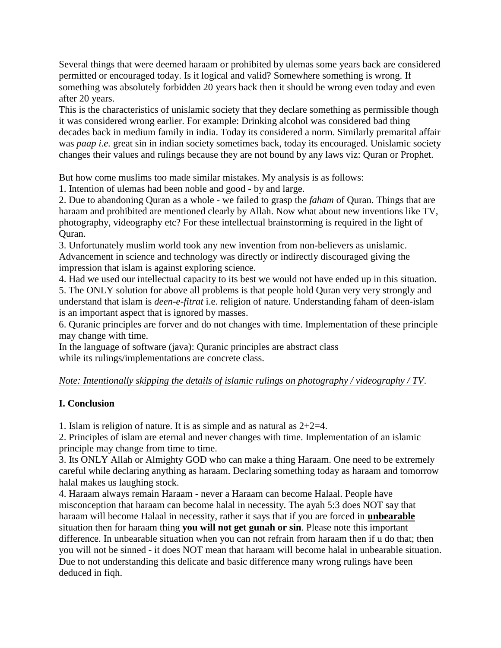Several things that were deemed haraam or prohibited by ulemas some years back are considered permitted or encouraged today. Is it logical and valid? Somewhere something is wrong. If something was absolutely forbidden  $20$  years back then it should be wrong even today and even after 20 years.

This is the characteristics of unislamic society that they declare something as permissible though it was considered wrong earlier. For example: Drinking alcohol was considered bad thing decades back in medium family in india. Today its considered a norm. Similarly premarital affair was *paap i.e.* great sin in indian society sometimes back, today its encouraged. Unislamic society changes their values and rulings because they are not bound by any laws viz: Quran or Prophet.

But how come muslims too made similar mistakes. My analysis is as follows:

1. Intention of ulemas had been noble and good - by and large.

2. Due to abandoning Quran as a whole - we failed to grasp the *faham* of Quran. Things that are haraam and prohibited are mentioned clearly by Allah. Now what about new inventions like TV, photography, videography etc? For these intellectual brainstorming is required in the light of Quran.

3. Unfortunately muslim world took any new invention from non-believers as unislamic. Advancement in science and technology was directly or indirectly discouraged giving the impression that islam is against exploring science.

4. Had we used our intellectual capacity to its best we would not have ended up in this situation. 5. The ONLY solution for above all problems is that people hold Quran very very strongly and understand that islam is *deen-e-fitrat* i.e. religion of nature. Understanding faham of deen-islam is an important aspect that is ignored by masses.

6. Quranic principles are forver and do not changes with time. Implementation of these principle may change with time.

In the language of software (java): Quranic principles are abstract class while its rulings/implementations are concrete class.

## *Note: Intentionally skipping the details of islamic rulings on photography / videography / TV*.

## **I. Conclusion**

1. Islam is religion of nature. It is as simple and as natural as 2+2=4.

2. Principles of islam are eternal and never changes with time. Implementation of an islamic principle may change from time to time.

3. Its ONLY Allah or Almighty GOD who can make a thing Haraam. One need to be extremely careful while declaring anything as haraam. Declaring something today as haraam and tomorrow halal makes us laughing stock.

4. Haraam always remain Haraam - never a Haraam can become Halaal. People have misconception that haraam can become halal in necessity. The ayah 5:3 does NOT say that haraam will become Halaal in necessity, rather it says that if you are forced in **unbearable** situation then for haraam thing **you will not get gunah or sin**. Please note this important difference. In unbearable situation when you can not refrain from haraam then if u do that; then you will not be sinned - it does NOT mean that haraam will become halal in unbearable situation. Due to not understanding this delicate and basic difference many wrong rulings have been deduced in fiqh.